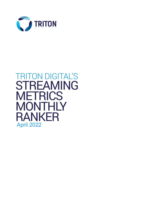

# **TRITON DIGITAL'S STREAMING METRICS MONTHLY RANKER April 2022**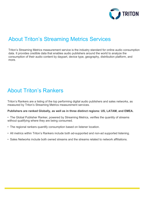

## **About Triton's Streaming Metrics Services**

Triton's Streaming Metrics measurement service is the industry standard for online audio consumption data. It provides credible data that enables audio publishers around the world to analyze the consumption of their audio content by daypart, device type, geography, distribution platform, and more.

## **About Triton's Rankers**

Triton's Rankers are a listing of the top performing digital audio publishers and sales networks, as measured by Triton's Streaming Metrics measurement services.

#### Publishers are ranked Globally, as well as in three distinct regions: US, LATAM, and EMEA.

- The Global Publisher Ranker, powered by Streaming Metrics, verifies the quantity of streams without qualifying where they are being consumed.
- The regional rankers quantify consumption based on listener location.
- All metrics within Triton's Rankers include both ad-supported and non-ad supported listening.
- Sales Networks include both owned streams and the streams related to network affiliations.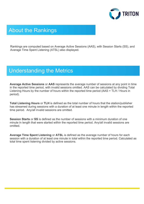

## **About the Rankings**

Rankings are computed based on Average Active Sessions (AAS), with Session Starts (SS), and Average Time Spent Listening (ATSL) also displayed.

### **Understanding the Metrics**

Average Active Sessions or AAS represents the average number of sessions at any point in time in the reported time period, with invalid sessions omitted. AAS can be calculated by dividing Total Listening Hours by the number of hours within the reported time period (AAS = TLH / Hours in period).

Total Listening Hours or TLH is defined as the total number of hours that the station/publisher has streamed during sessions with a duration of at least one minute in length within the reported time period. Any/all invalid sessions are omitted.

Session Starts or SS is defined as the number of sessions with a minimum duration of one minute in length that were started within the reported time period. Any/all invalid sessions are omitted.

Average Time Spent Listening or ATSL is defined as the average number of hours for each session with a duration of at least one minute in total within the reported time period. Calculated as total time spent listening divided by active sessions.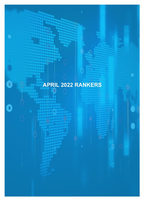# APRIL 2022 RANKERS

 $\bullet$ 

ö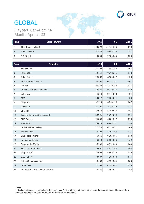

# **GLOBAL**

Daypart: 6am-8pm M-F Month: April 2022

| ∣ Rank | <b>Sales Network</b> | AAS       | <b>SS</b>   | <b>ATSL</b> |
|--------|----------------------|-----------|-------------|-------------|
|        | iHeartMedia Network  | 1,196,572 | 451,161,645 | 0.76        |
| 2      | <b>Talpa Network</b> | 161.846   | 25,856,188  | 1.81        |
| 3      | 365 Digital          | 6,599     | 2,033,545   | 0.93        |

| Rank           | <b>Publisher</b>                      | <b>AAS</b> | <b>SS</b>   | <b>ATSL</b> |
|----------------|---------------------------------------|------------|-------------|-------------|
| 1              | iHeartRadio                           | 421,403    | 188,654,734 | 0.64        |
| $\overline{2}$ | Prisa Radio                           | 178,151    | 70,782,276  | 0.72        |
| 3              | Talpa Radio                           | 126,063    | 18,634,862  | 1.96        |
| 4              | <b>NPR Member Stations</b>            | 99,906     | 34,577,502  | 0.82        |
| 5              | Audacy                                | 94,385     | 38,079,712  | 0.71        |
| 6              | <b>Cumulus Streaming Network</b>      | 62,850     | 20,210,874  | 0.89        |
| 7              | <b>Bell Media</b>                     | 44,548     | 9,477,658   | 1.34        |
| 8              | <b>EMF</b>                            | 36,217     | 7,338,001   | 1.38        |
| 9              | Grupo Acir                            | 32,514     | 10,756,196  | 0.87        |
| 10             | Medialaan                             | 31,552     | 5,229,353   | 1.74        |
| 11             | Univision                             | 30,044     | 15,059,914  | 0.57        |
| 12             | <b>Beasley Broadcasting Corporate</b> | 28,965     | 9,969,206   | 0.84        |
| 13             | <b>CRP Radios</b>                     | 24,636     | 10,231,992  | 0.70        |
| 14             | AccuRadio                             | 24,424     | 4,480,351   | 1.56        |
| 15             | <b>Hubbard Broadcasting</b>           | 22,228     | 6,155,037   | 1.03        |
| 16             | Karnaval.com                          | 20,193     | 8,251,393   | 0.71        |
| 17             | Grupo Radio Centro                    | 16,515     | 6,097,695   | 0.78        |
| 18             | Cogeco Media Inc                      | 15,619     | 2,891,055   | 1.52        |
| 19             | Grupo Alpha Media                     | 15,508     | 6,992,009   | 0.64        |
| 20             | New York Public Radio                 | 15,057     | 4,677,762   | 0.92        |
| 21             | Grupo Godó                            | 14,995     | 5,459,210   | 0.79        |
| 22             | Grupo JBFM                            | 13,667     | 5,331,656   | 0.74        |
| 23             | <b>Salem Communications</b>           | 13,133     | 4,620,854   | 0.80        |
| 24             | Urban One                             | 12,333     | 4,494,602   | 0.78        |
| 25             | Commerciele Radio Nederland B.V.      | 12,320     | 2,505,927   | 1.42        |

Notes:

• Ranker data only includes clients that participate for the full month for which the ranker is being released. Reported data includes listening from both ad-supported and/or ad-free services.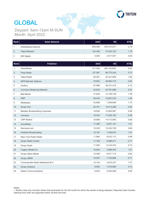

# **GLOBAL**

Daypart: Cam-T2am M-<br>Month: April 2022 Daypart: 6am-12am M-SUN

| Rank | <b>Sales Network</b> | AAS     | <b>SS</b>   | <b>ATSL</b> |
|------|----------------------|---------|-------------|-------------|
|      | iHeartMedia Network  | 834.095 | 578,757,817 | 0.76        |
| 2    | <b>Talpa Network</b> | 124.456 | 37,324,722  | 1.78        |
| 3    | 365 Digital          | 4.420   | 2,517,407   | 0.92        |

| Rank           | <b>Publisher</b>                      | <b>AAS</b> | <b>SS</b>     | <b>ATSL</b> |
|----------------|---------------------------------------|------------|---------------|-------------|
| 1              | iHeartRadio                           | 311,445    | 256, 143, 652 | 0.64        |
| $\overline{2}$ | Prisa Radio                           | 127,597    | 96,775,242    | 0.70        |
| 3              | Talpa Radio                           | 94,361     | 25,341,609    | 1.99        |
| 4              | <b>NPR Member Stations</b>            | 79,902     | 49,850,774    | 0.84        |
| 5              | Audacy                                | 67,996     | 48,751,415    | 0.73        |
| 6              | <b>Cumulus Streaming Network</b>      | 42,842     | 24,761,668    | 0.91        |
| 7              | <b>Bell Media</b>                     | 31,645     | 12,129,738    | 1.38        |
| 8              | <b>EMF</b>                            | 28,433     | 10,657,333    | 1.40        |
| 9              | Medialaan                             | 23,698     | 7,248,848     | 1.74        |
| 10             | Grupo Acir                            | 22,761     | 14,413,298    | 0.84        |
| 11             | <b>Beasley Broadcasting Corporate</b> | 19,636     | 12,082,967    | 0.86        |
| 12             | Univision                             | 19,432     | 17,636,150    | 0.58        |
| 13             | <b>CRP Radios</b>                     | 18,698     | 14,712,955    | 0.68        |
| 14             | AccuRadio                             | 17,386     | 6,057,107     | 1.51        |
| 15             | Karnaval.com                          | 15,226     | 12,343,729    | 0.66        |
| 16             | <b>Hubbard Broadcasting</b>           | 15,187     | 7,439,070     | 1.07        |
| 17             | New York Public Radio                 | 11,964     | 6,610,112     | 0.96        |
| 18             | Grupo Radio Centro                    | 11,700     | 8,096,471     | 0.77        |
| 19             | Grupo Godó                            | 11,264     | 8,124,474     | 0.74        |
| 20             | Cogeco Media Inc                      | 10,825     | 3,599,343     | 1.57        |
| 21             | Grupo Alpha Media                     | 10,408     | 8,571,714     | 0.65        |
| 22             | Grupo JBFM                            | 10,367     | 7,740,968     | 0.71        |
| 23             | Commerciele Radio Nederland B.V.      | 10,104     | 3,675,327     | 1.47        |
| 24             | Grupo America                         | 9,592      | 7,016,069     | 0.72        |
| 25             | <b>Salem Communications</b>           | 8,943      | 5,520,486     | 0.85        |

<sup>•</sup> Ranker data only includes clients that participate for the full month for which the ranker is being released. Reported data includes listening from both ad-supported and/or ad-free services.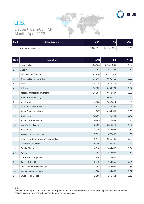

#### U.S. Daypart: 6am-8pm M-F Month: April 2022

| Rank | <b>Sales Network</b> | AAS l     | <b>SS</b>   | <b>ATSL</b> |
|------|----------------------|-----------|-------------|-------------|
|      | iHeartMedia Network  | 1.174.991 | 441.141.624 | 0.76        |

| Rank | <b>Publisher</b>                              | <b>AAS</b> | <b>SS</b>   | <b>ATSL</b> |
|------|-----------------------------------------------|------------|-------------|-------------|
| 1    | <b>iHeartRadio</b>                            | 408,668    | 182,461,234 | 0.64        |
| 2    | Audacy                                        | 94,151     | 37,930,338  | 0.71        |
| 3    | <b>NPR Member Stations</b>                    | 92,950     | 32,227,571  | 0.82        |
| 4    | <b>Cumulus Streaming Network</b>              | 61,918     | 19,900,768  | 0.89        |
| 5    | <b>EMF</b>                                    | 35,275     | 7,041,472   | 1.39        |
| 6    | <b>Univision</b>                              | 30,029     | 15,051,281  | 0.57        |
| 7    | <b>Beasley Broadcasting Corporate</b>         | 28,393     | 9,813,807   | 0.83        |
| 8    | <b>Hubbard Broadcasting</b>                   | 22,122     | 6,082,275   | 1.03        |
| 9    | AccuRadio                                     | 14,653     | 2,540,814   | 1.65        |
| 10   | New York Public Radio                         | 13,818     | 4,189,165   | 0.94        |
| 11   | <b>Salem Communications</b>                   | 12,987     | 4,564,531   | 0.80        |
| 12   | Urban One                                     | 12,285     | 4,480,593   | 0.78        |
| 13   | Bonneville International                      | 10,769     | 4,223,884   | 0.74        |
| 14   | MediaCo Holding Inc                           | 8,492      | 3,941,911   | 0.62        |
| 15   | Prisa Radio                                   | 8,029      | 4,535,933   | 0.51        |
| 16   | <b>Midwest Communications</b>                 | 7,893      | 1,678,003   | 1.33        |
| 17   | <b>Entravision Communications Corporation</b> | 6,174      | 2,855,445   | 0.63        |
| 18   | Classical KUSC/KDFC                           | 6,044      | 1,181,345   | 1.45        |
| 19   | Estrella Media                                | 4,616      | 2,084,495   | 0.64        |
| 20   | <b>WAMU</b>                                   | 3,958      | 1,538,931   | 0.73        |
| 21   | <b>ESPN Radio Corporate</b>                   | 3,756      | 2,121,003   | 0.50        |
| 22   | <b>Sinclair Telecable</b>                     | 3,043      | 954,356     | 0.91        |
| 23   | Lotus Communications Corp                     | 2,958      | 1,266,037   | 0.68        |
| 24   | Meruelo Media Holdings                        | 2,658      | 1,144,569   | 0.67        |
| 25   | Grupo Radio Centro                            | 2,555      | 1,246,464   | 0.59        |

Notes:

• Ranker data only includes clients that participate for the full month for which the ranker is being released. Reported data includes listening from both ad-supported and/or ad-free services.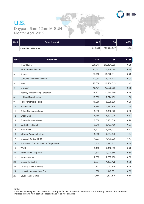

#### U.S. Daypart: 6am-12am M-SUN Month: April 2022

| Rank | <b>Sales Network</b> | <b>AAS</b> | SS <sub>1</sub> | <b>ATSL</b> |
|------|----------------------|------------|-----------------|-------------|
|      | iHeartMedia Network  | 815,851    | 562,700,547     | 0.76        |

| Rank | <b>Publisher</b>                              | <b>AAS</b> | <b>SS</b>   | <b>ATSL</b> |
|------|-----------------------------------------------|------------|-------------|-------------|
| 1    | iHeartRadio                                   | 300,843    | 246,424,059 | 0.65        |
| 2    | <b>NPR Member Stations</b>                    | 73,677     | 45,956,488  | 0.84        |
| 3    | Audacy                                        | 67,798     | 48,522,811  | 0.73        |
| 4    | <b>Cumulus Streaming Network</b>              | 42,061     | 24,279,402  | 0.91        |
| 5    | <b>EMF</b>                                    | 27,658     | 10,204,315  | 1.42        |
| 6    | Univision                                     | 19,421     | 17,623,788  | 0.58        |
| 7    | <b>Beasley Broadcasting Corporate</b>         | 19,207     | 11,875,880  | 0.86        |
| 8    | <b>Hubbard Broadcasting</b>                   | 15,095     | 7,324,132   | 1.08        |
| 9    | New York Public Radio                         | 10,880     | 5,825,578   | 0.99        |
| 10   | <b>AccuRadio</b>                              | 9,790      | 3,192,724   | 1.60        |
| 11   | <b>Salem Communications</b>                   | 8,816      | 5,432,022   | 0.85        |
| 12   | Urban One                                     | 8,456      | 5,392,936   | 0.83        |
| 13   | Bonneville International                      | 7,358      | 5,181,818   | 0.76        |
| 14   | MediaCo Holding Inc                           | 6,819      | 5,763,459   | 0.63        |
| 15   | Prisa Radio                                   | 5,502      | 5,574,472   | 0.52        |
| 16   | <b>Midwest Communications</b>                 | 5,363      | 2,094,442   | 1.34        |
| 17   | <b>Classical KUSC/KDFC</b>                    | 4,937      | 1,770,238   | 1.47        |
| 18   | <b>Entravision Communications Corporation</b> | 3,805      | 3,197,813   | 0.64        |
| 19   | <b>WAMU</b>                                   | 3,108      | 2,152,389   | 0.76        |
| 20   | <b>ESPN Radio Corporate</b>                   | 2,871      | 3,029,845   | 0.50        |
| 21   | Estrella Media                                | 2,805      | 2,357,195   | 0.63        |
| 22   | <b>Sinclair Telecable</b>                     | 2,034      | 1,127,472   | 0.95        |
| 23   | Meruelo Media Holdings                        | 1,933      | 1,522,740   | 0.68        |
| 24   | <b>Lotus Communications Corp</b>              | 1,890      | 1,449,391   | 0.69        |
| 25   | Grupo Radio Centro                            | 1,788      | 1,593,675   | 0.60        |

Notes:

 $\cdot$  Ranker data only includes clients that participate for the full month for which the ranker is being released. Reported data includes listening from both ad-supported and/or ad-free services.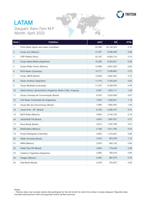

#### **LATAM** Daypart: 6am-7pm M-F Month: April 2022

| Rank           | <b>Publisher</b>                                               | <b>AAS</b> | <b>SS</b>   | <b>ATSL</b> |
|----------------|----------------------------------------------------------------|------------|-------------|-------------|
| $\mathbf{1}$   | Prisa Radio (Spain and Latam Countries)                        | 93,396     | 35,140,325  | 0.70        |
| 2              | Grupo Acir (Mexico)                                            | 31,381     | 9,486,468   | 0.88        |
| 3              | CRP Radios (Peru)                                              | 22,197     | 8,002,714   | 0.74        |
| 4              | Grupo Alpha Media (Argentina)                                  | 15,308     | 6,324,921   | 0.65        |
| 5              | Grupo Radio Centro (Mexico)                                    | 14,469     | 4,651,933   | 0.83        |
| 6              | RCN Radio (Colombia)                                           | 14,171     | 5,309,683   | 0.70        |
| $\overline{7}$ | Grupo JBFM (Brazil)                                            | 13,900     | 4,987,932   | 0.75        |
| 8              | Grupo América (Argentina)                                      | 11,715     | 3,704,242   | 0.83        |
| 9              | Grupo BluRadio (Colombia)                                      | 11,237     | 6,320,934   | 0.46        |
| 10             | Radio Disney Latinoamérica (Argentina, Brazil, Chile, Uruguay) | 9,097      | 1,823,117   | 1.35        |
| 11             | Grupo Camargo de Comunicação (Brazil)                          | 8,783      | 3,532,828   | 0.67        |
| 12             | LS4 Radio Continental SA (Argentina)                           | 7,875      | 1,839,261   | 1.15        |
| 13             | Grupo Mix de Comunicacao (Brazil)                              | 7,849      | 1,962,444   | 1.08        |
| 14             | Jovem Pan - SP (Brazil)                                        | 6,728      | 4,390,167   | 0.41        |
| 15             | MVS Radio (Mexico)                                             | 5,963      | 2, 144, 153 | 0.74        |
| 16             | SAUDADE FM (Brazil)                                            | 4,823      | 1,667,531   | 0.77        |
| 17             | Nova Brasil (Brazil)                                           | 4,612      | 1,357,796   | 0.91        |
| 18             | Multimedios (Mexico)                                           | 4,188      | 1,611,190   | 0.70        |
| 19             | Grupo Radiopolis (Colombia)                                    | 3,950      | 1,214,281   | 0.86        |
| 20             | Rádio Alvorada (Brazil)                                        | 3,423      | 823,578     | 1.12        |
| 21             | NRM (Mexico)                                                   | 2,676      | 904,152     | 0.80        |
| 22             | Radio Kiss FM (Brazil)                                         | 2,600      | 719,248     | 0.98        |
| 23             | Cadena 3 Argentina (Argentina)                                 | 2,585      | 792,019     | 0.85        |
| 24             | Imagen (Mexico)                                                | 2,494      | 887,075     | 0.76        |
| 25             | Dial Brasil (Brazil)                                           | 2,478      | 703,537     | 0.95        |

• Ranker data only includes clients that participate for the full month for which the ranker is being released. Reported data includes listening from both ad-supported and/or ad-free services.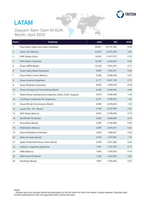

# **LATAM**

Daypart. Vann-Tzann ivi:<br>Month: Anril 2022 Daypart: 6am-12am M-SUN Month: April 2022

| Rank             | <b>Publisher</b>                                               | <b>AAS</b> | <b>SS</b>  | <b>ATSL</b> |
|------------------|----------------------------------------------------------------|------------|------------|-------------|
| 1                | Prisa Radio (Spain and Latam Countries)                        | 59,821     | 45,747,365 | 0.69        |
| $\sqrt{2}$       | Grupo Acir (Mexico)                                            | 20,834     | 13,075,445 | 0.85        |
| 3                | <b>CRP Radios (Peru)</b>                                       | 16,043     | 11,917,272 | 0.72        |
| $\overline{4}$   | RCN Radio (Colombia)                                           | 10,248     | 8,236,963  | 0.65        |
| 5                | Grupo JBFM (Brazil)                                            | 10,105     | 7,541,437  | 0.71        |
| 6                | Grupo Alpha Media (Argentina)                                  | 9,809      | 7,953,451  | 0.66        |
| $\boldsymbol{7}$ | Grupo Radio Centro (Mexico)                                    | 9,768      | 6,395,409  | 0.81        |
| 8                | Grupo América (Argentina)                                      | 9,177      | 6,647,109  | 0.73        |
| 9                | Grupo BluRadio (Colombia)                                      | 6,602      | 7,409,519  | 0.46        |
| 10               | Grupo Camargo de Comunicação (Brazil)                          | 6,299      | 5,228,043  | 0.64        |
| 11               | Radio Disney Latinoamérica (Argentina, Brazil, Chile, Uruguay) | 5,879      | 2,456,468  | 1.29        |
| 12               | LS4 Radio Continental SA (Argentina)                           | 5,421      | 2,786,630  | 1.04        |
| 13               | Grupo Mix de Comunicacao (Brazil)                              | 5,269      | 2,816,634  | 1.00        |
| 14               | Jovem Pan - SP (Brazil)                                        | 4,789      | 6,037,598  | 0.42        |
| 15               | MVS Radio (Mexico)                                             | 3,847      | 2,799,309  | 0.73        |
| 16               | SAUDADE FM (Brazil)                                            | 3,659      | 2,669,946  | 0.73        |
| 17               | Nova Brasil (Brazil)                                           | 3,399      | 2,138,928  | 0.85        |
| 18               | Multimedios (Mexico)                                           | 2,956      | 2,481,631  | 0.63        |
| 19               | Grupo Radiopolis (Colombia)                                    | 2,635      | 1,669,061  | 0.83        |
| 20               | Rádio Alvorada (Brazil)                                        | 2,342      | 1,207,842  | 1.03        |
| 21               | Igreja Pentecostal Deus e Amor (Brazil)                        | 2,205      | 2,021,268  | 0.56        |
| 22               | Cadena 3 Argentina (Argentina)                                 | 1,961      | 1,327,200  | 0.77        |
| 23               | NRM (Mexico)                                                   | 1,902      | 1,335,552  | 0.76        |
| 24               | Radio Kiss FM (Brazil)                                         | 1,790      | 1,042,052  | 0.92        |
| 25               | Dial Brasil (Brazil)                                           | 1,687      | 1,035,260  | 0.87        |

• Ranker data only includes clients that participate for the full month for which the ranker is being released. Reported data includeslisteningfrombothad-supportedand/orad-freeservices.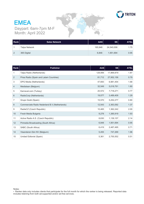

#### **EMEA** Daypart: 6am-7pm M-F Month: April 2022

| Rank | <b>Sales Network</b> | AAS     | <b>SS</b>  | <b>ATSL</b> |
|------|----------------------|---------|------------|-------------|
|      | <b>Talpa Network</b> | 165.948 | 24,540,006 | 1.75        |
| 2    | 365 Digital          | 6,848   | 1,951,694  | 0.95        |

| Rank           | <b>Publisher</b>                               | AAS     | <b>SS</b>  | <b>ATSL</b> |
|----------------|------------------------------------------------|---------|------------|-------------|
| 1              | Talpa Radio (Netherlands)                      | 129,956 | 17,869,879 | 1.87        |
| 2              | Prisa Radio (Spain and Latam Countries)        | 81,712  | 27,952,156 | 0.79        |
| 3              | DPG Media (Netherlands)                        | 47,693  | 6,981,454  | 1.68        |
| 4              | Medialaan (Belgium)                            | 32,549  | 5,018,791  | 1.80        |
| 5              | Karnaval.com (Turkey)                          | 20,572  | 7,718,271  | 0.77        |
| 6              | RadioCorp (Netherlands)                        | 19,077  | 3,489,409  | 1.29        |
| $\overline{7}$ | Grupo Godó (Spain)                             | 15,570  | 5,252,277  | 0.80        |
| 8              | Commerciele Radio Nederland B.V. (Netherlands) | 12,543  | 2,363,092  | 1.37        |
| 9              | RadiaCZ (Czech Republic)                       | 10,465  | 1,362,242  | 2.00        |
| 10             | Fresh Media Bulgaria                           | 9,278   | 1,385,919  | 1.93        |
| 11             | Active Radio A.S. (Czech Republic)             | 8,630   | 1,139,157  | 2.14        |
| 12             | Primedia Broadcasting (South Africa)           | 6,848   | 1,951,694  | 0.95        |
| 13             | SABC (South Africa)                            | 6,419   | 2,487,495  | 0.71        |
| 14             | Vlaanderen Eén NV (Belgium)                    | 5,455   | 747,269    | 1.96        |
| 15             | Unidad Editorial (Spain)                       | 5,361   | 2,755,552  | 0.51        |

• Ranker data only includes clients that participate for the full month for which the ranker is being released. Reported data includes listening from both ad-supported and/or ad-free services.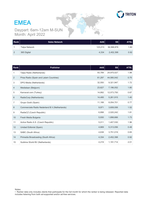

# **EMEA**

Daypart: 6am-12am M-SUN Month: April 2022

| Rank | <b>Sales Network</b> | <b>AAS</b> | <b>SS</b>  | <b>ATSL</b> |
|------|----------------------|------------|------------|-------------|
|      | <b>Talpa Network</b> | 123,213    | 36,588,876 | 1.80        |
| 2    | 365 Digital          | 4,334      | 2,452,398  | 0.92        |

| Rank           | <b>Publisher</b>                               | <b>AAS</b> | <b>SS</b>  | <b>ATSL</b> |
|----------------|------------------------------------------------|------------|------------|-------------|
| $\mathbf{1}$   | Talpa Radio (Netherlands)                      | 93,789     | 24,975,027 | 1.98        |
| $\overline{2}$ | Prisa Radio (Spain and Latam Countries)        | 61,297     | 44,580,042 | 0.75        |
| 3              | DPG Media (Netherlands)                        | 32,550     | 9,321,947  | 1.72        |
| 4              | Medialaan (Belgium)                            | 23,627     | 7,196,052  | 1.80        |
| 5              | Karnaval.com (Turkey)                          | 14,892     | 12,073,750 | 0.67        |
| 6              | RadioCorp (Netherlands)                        | 14,495     | 5,261,915  | 1.40        |
| $\overline{7}$ | Grupo Godó (Spain)                             | 11,188     | 8,054,701  | 0.77        |
| 8              | Commerciele Radio Nederland B.V. (Netherlands) | 9,971      | 3,608,006  | 1.52        |
| 9              | RadiaCZ (Czech Republic)                       | 6,898      | 2,020,242  | 1.81        |
| 10             | Fresh Media Bulgaria                           | 5,930      | 1,898,666  | 1.73        |
| 11             | Active Radio A.S. (Czech Republic)             | 5,011      | 1,407,530  | 1.96        |
| 12             | Unidad Editorial (Spain)                       | 4,669      | 5,313,056  | 0.48        |
| 13             | SABC (South Africa)                            | 4,638      | 3,751,019  | 0.65        |
| 14             | Primedia Broadcasting (South Africa)           | 4,334      | 2,452,398  | 0.92        |
| 15             | Sublime World BV (Netherlands)                 | 4,219      | 1,191,714  | 2.01        |

Notes:

 $\cdot$  Ranker data only includes clients that participate for the full month for which the ranker is being released. Reported data includes listening from both ad-supported and/or ad-free services.